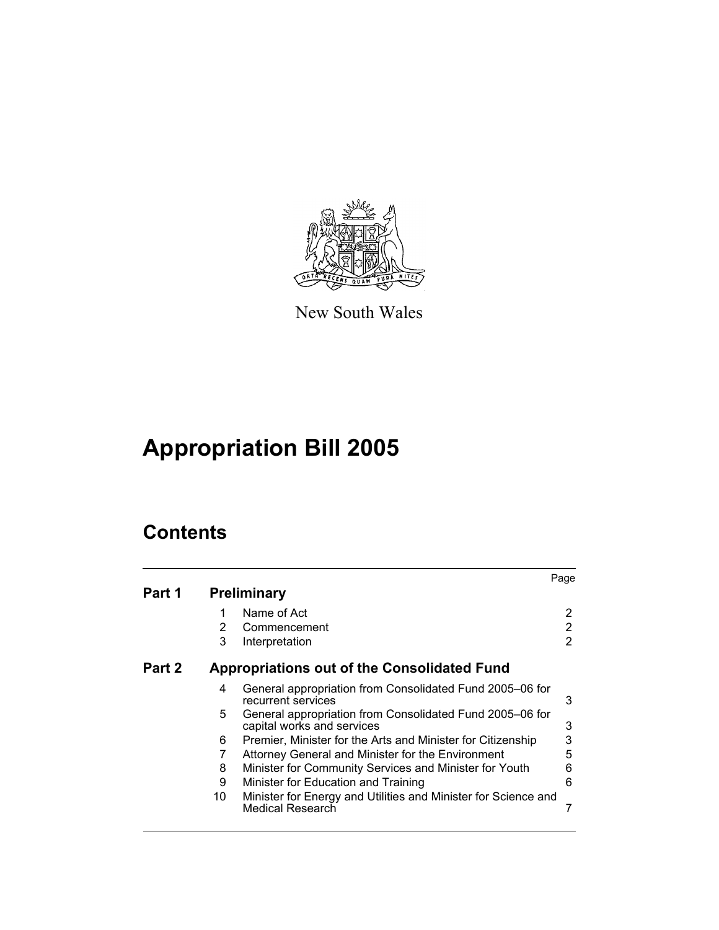

New South Wales

# **Appropriation Bill 2005**

# **Contents**

| Part 1 |    | <b>Preliminary</b>                                                                     | Page |
|--------|----|----------------------------------------------------------------------------------------|------|
|        |    |                                                                                        |      |
|        | 1  | Name of Act                                                                            | 2    |
|        | 2  | Commencement                                                                           | 2    |
|        | 3  | Interpretation                                                                         | 2    |
| Part 2 |    | <b>Appropriations out of the Consolidated Fund</b>                                     |      |
|        | 4  | General appropriation from Consolidated Fund 2005-06 for<br>recurrent services         | 3    |
|        | 5  | General appropriation from Consolidated Fund 2005–06 for<br>capital works and services | 3    |
|        | 6  | Premier, Minister for the Arts and Minister for Citizenship                            | 3    |
|        | 7  | Attorney General and Minister for the Environment                                      | 5    |
|        | 8  | Minister for Community Services and Minister for Youth                                 | 6    |
|        | 9  | Minister for Education and Training                                                    | 6    |
|        | 10 | Minister for Energy and Utilities and Minister for Science and<br>Medical Research     |      |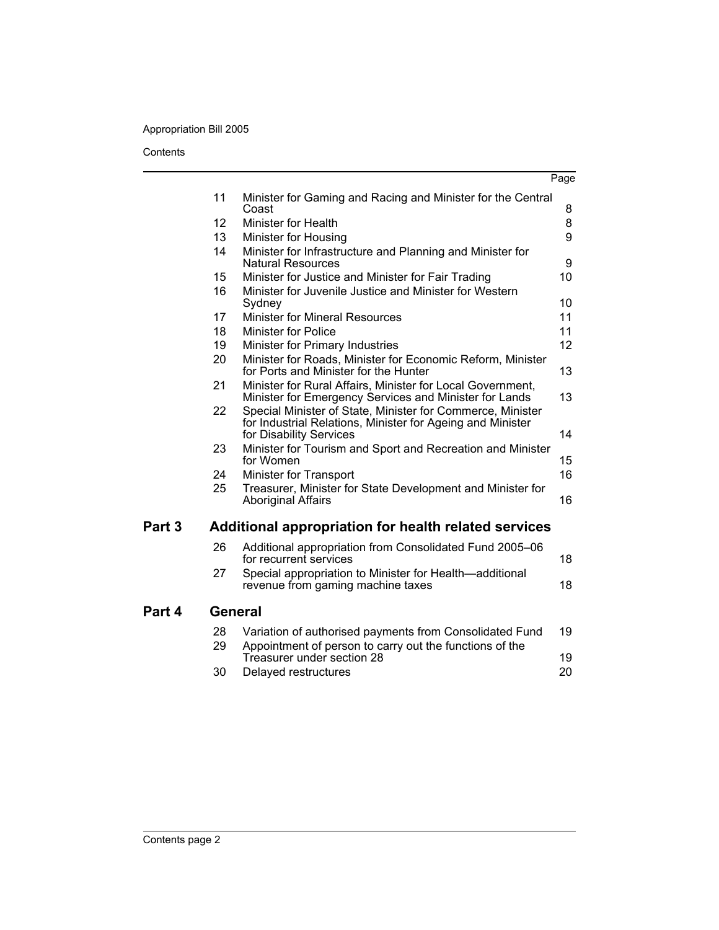### Appropriation Bill 2005

**Contents** 

|                          |                                                                                                                                                     | Page |
|--------------------------|-----------------------------------------------------------------------------------------------------------------------------------------------------|------|
| 11                       | Minister for Gaming and Racing and Minister for the Central<br>Coast                                                                                | 8    |
| 12                       | <b>Minister for Health</b>                                                                                                                          | 8    |
| 13                       | Minister for Housing                                                                                                                                | 9    |
| 14                       | Minister for Infrastructure and Planning and Minister for<br><b>Natural Resources</b>                                                               | 9    |
| 15                       | Minister for Justice and Minister for Fair Trading                                                                                                  | 10   |
| 16                       | Minister for Juvenile Justice and Minister for Western<br>Sydney                                                                                    | 10   |
| 17                       | <b>Minister for Mineral Resources</b>                                                                                                               | 11   |
| 18                       | <b>Minister for Police</b>                                                                                                                          | 11   |
| 19                       | Minister for Primary Industries                                                                                                                     | 12   |
| 20                       | Minister for Roads, Minister for Economic Reform, Minister<br>for Ports and Minister for the Hunter                                                 | 13   |
| 21                       | Minister for Rural Affairs, Minister for Local Government,<br>Minister for Emergency Services and Minister for Lands                                | 13   |
| 22                       | Special Minister of State, Minister for Commerce, Minister<br>for Industrial Relations, Minister for Ageing and Minister<br>for Disability Services | 14   |
| 23                       | Minister for Tourism and Sport and Recreation and Minister<br>for Women                                                                             | 15   |
| 24                       | Minister for Transport                                                                                                                              | 16   |
| 25                       | Treasurer, Minister for State Development and Minister for<br><b>Aboriginal Affairs</b>                                                             | 16   |
| Part <sub>3</sub>        | Additional appropriation for health related services                                                                                                |      |
| 26                       | Additional appropriation from Consolidated Fund 2005-06<br>for recurrent services                                                                   | 18   |
| 27                       | Special appropriation to Minister for Health—additional<br>revenue from gaming machine taxes                                                        | 18   |
| Part 4<br><b>General</b> |                                                                                                                                                     |      |
| 28                       | Variation of authorised payments from Consolidated Fund                                                                                             | 19   |
| 29                       | Appointment of person to carry out the functions of the<br>Treasurer under section 28                                                               | 19   |
| 30                       | Delayed restructures                                                                                                                                | 20   |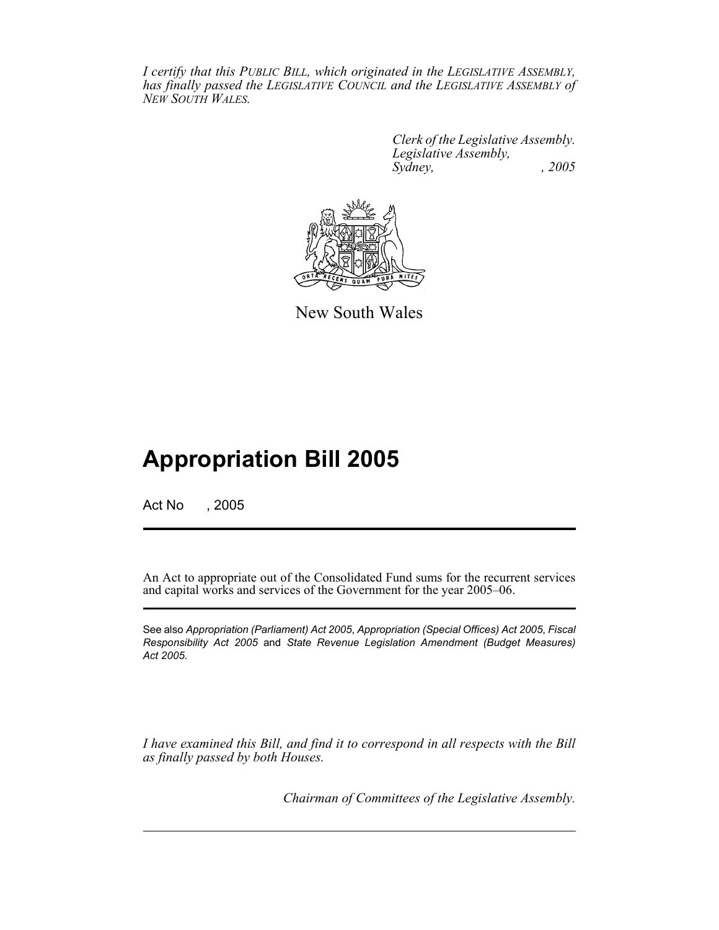*I certify that this PUBLIC BILL, which originated in the LEGISLATIVE ASSEMBLY, has finally passed the LEGISLATIVE COUNCIL and the LEGISLATIVE ASSEMBLY of NEW SOUTH WALES.*

> *Clerk of the Legislative Assembly. Legislative Assembly, Sydney, , 2005*



New South Wales

# **Appropriation Bill 2005**

Act No , 2005

An Act to appropriate out of the Consolidated Fund sums for the recurrent services and capital works and services of the Government for the year 2005–06.

See also *Appropriation (Parliament) Act 2005*, *Appropriation (Special Offices) Act 2005*, *Fiscal Responsibility Act 2005* and *State Revenue Legislation Amendment (Budget Measures) Act 2005*.

*I have examined this Bill, and find it to correspond in all respects with the Bill as finally passed by both Houses.*

*Chairman of Committees of the Legislative Assembly.*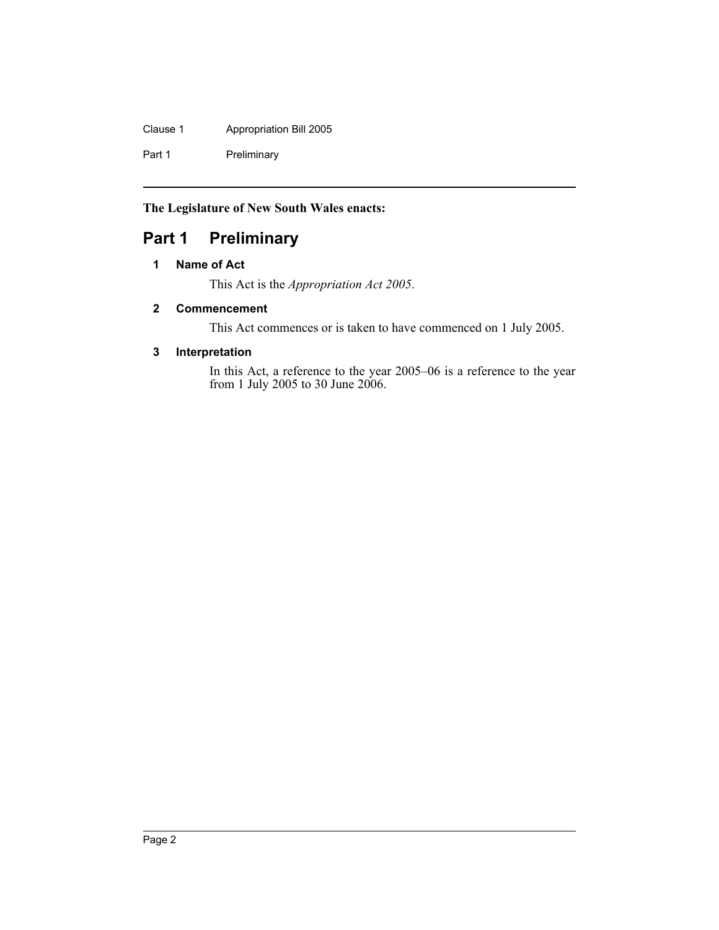Clause 1 Appropriation Bill 2005

Part 1 Preliminary

**The Legislature of New South Wales enacts:**

## **Part 1 Preliminary**

### **1 Name of Act**

This Act is the *Appropriation Act 2005*.

#### **2 Commencement**

This Act commences or is taken to have commenced on 1 July 2005.

#### **3 Interpretation**

In this Act, a reference to the year 2005–06 is a reference to the year from 1 July 2005 to 30 June 2006.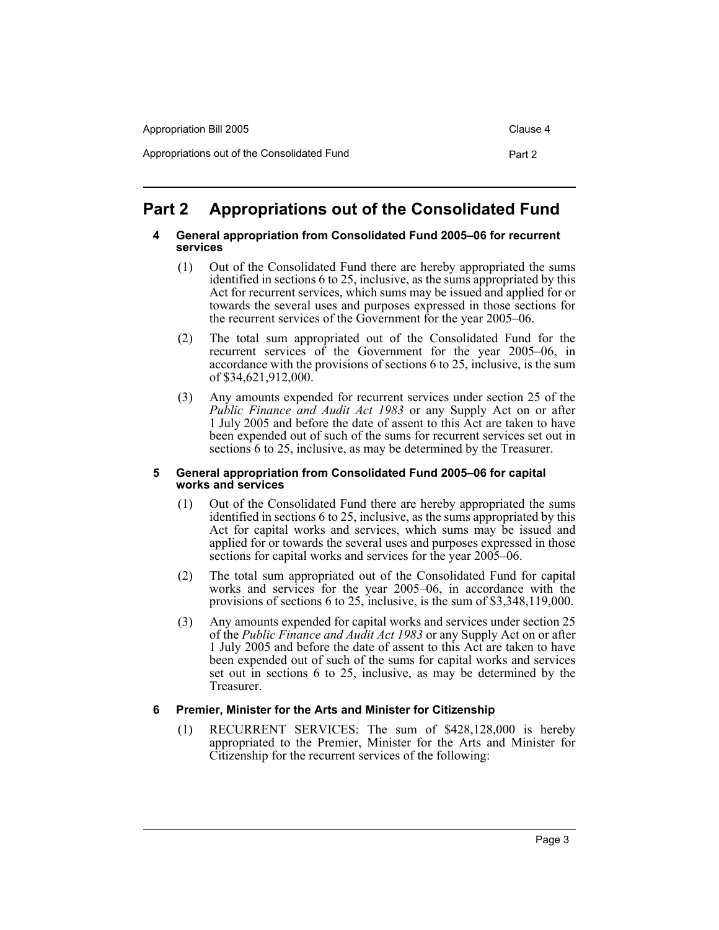| Appropriation Bill 2005                     | Clause 4 |
|---------------------------------------------|----------|
| Appropriations out of the Consolidated Fund | Part 2   |

# **Part 2 Appropriations out of the Consolidated Fund**

#### **4 General appropriation from Consolidated Fund 2005–06 for recurrent services**

- (1) Out of the Consolidated Fund there are hereby appropriated the sums identified in sections 6 to 25, inclusive, as the sums appropriated by this Act for recurrent services, which sums may be issued and applied for or towards the several uses and purposes expressed in those sections for the recurrent services of the Government for the year 2005–06.
- (2) The total sum appropriated out of the Consolidated Fund for the recurrent services of the Government for the year 2005–06, in accordance with the provisions of sections 6 to 25, inclusive, is the sum of \$34,621,912,000.
- (3) Any amounts expended for recurrent services under section 25 of the *Public Finance and Audit Act 1983* or any Supply Act on or after 1 July 2005 and before the date of assent to this Act are taken to have been expended out of such of the sums for recurrent services set out in sections 6 to 25, inclusive, as may be determined by the Treasurer.

#### **5 General appropriation from Consolidated Fund 2005–06 for capital works and services**

- (1) Out of the Consolidated Fund there are hereby appropriated the sums identified in sections 6 to 25, inclusive, as the sums appropriated by this Act for capital works and services, which sums may be issued and applied for or towards the several uses and purposes expressed in those sections for capital works and services for the year 2005–06.
- (2) The total sum appropriated out of the Consolidated Fund for capital works and services for the year 2005–06, in accordance with the provisions of sections 6 to 25, inclusive, is the sum of \$3,348,119,000.
- (3) Any amounts expended for capital works and services under section 25 of the *Public Finance and Audit Act 1983* or any Supply Act on or after 1 July 2005 and before the date of assent to this Act are taken to have been expended out of such of the sums for capital works and services set out in sections 6 to 25, inclusive, as may be determined by the Treasurer.

#### **6 Premier, Minister for the Arts and Minister for Citizenship**

(1) RECURRENT SERVICES: The sum of \$428,128,000 is hereby appropriated to the Premier, Minister for the Arts and Minister for Citizenship for the recurrent services of the following: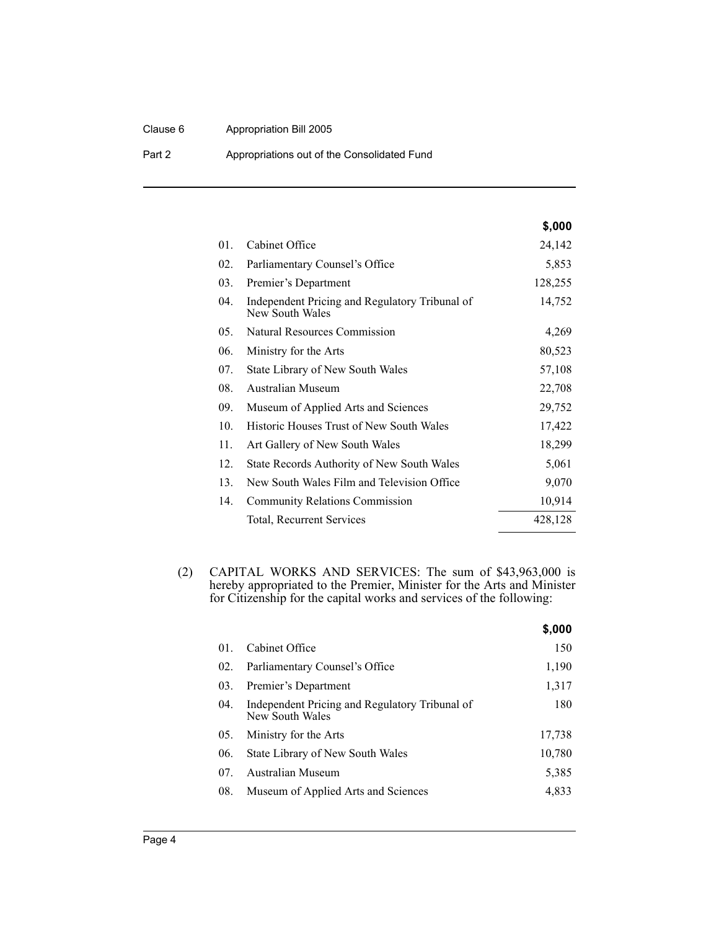#### Clause 6 Appropriation Bill 2005

Part 2 **Appropriations out of the Consolidated Fund** 

|     |                                                                   | \$,000  |
|-----|-------------------------------------------------------------------|---------|
| 01. | Cabinet Office                                                    | 24,142  |
| 02. | Parliamentary Counsel's Office                                    | 5,853   |
| 03. | Premier's Department                                              | 128,255 |
| 04. | Independent Pricing and Regulatory Tribunal of<br>New South Wales | 14,752  |
| 05. | Natural Resources Commission                                      | 4,269   |
| 06. | Ministry for the Arts                                             | 80,523  |
| 07. | State Library of New South Wales                                  | 57,108  |
| 08. | Australian Museum                                                 | 22,708  |
| 09. | Museum of Applied Arts and Sciences                               | 29,752  |
| 10. | <b>Historic Houses Trust of New South Wales</b>                   | 17,422  |
| 11. | Art Gallery of New South Wales                                    | 18,299  |
| 12. | State Records Authority of New South Wales                        | 5,061   |
| 13. | New South Wales Film and Television Office                        | 9,070   |
| 14. | <b>Community Relations Commission</b>                             | 10,914  |
|     | Total, Recurrent Services                                         | 428,128 |

(2) CAPITAL WORKS AND SERVICES: The sum of \$43,963,000 is hereby appropriated to the Premier, Minister for the Arts and Minister for Citizenship for the capital works and services of the following:

|     |                                                                   | \$,000 |
|-----|-------------------------------------------------------------------|--------|
| 01. | Cabinet Office                                                    | 150    |
| 02. | Parliamentary Counsel's Office                                    | 1,190  |
| 03. | Premier's Department                                              | 1,317  |
| 04. | Independent Pricing and Regulatory Tribunal of<br>New South Wales | 180    |
| 05. | Ministry for the Arts                                             | 17.738 |
| 06. | State Library of New South Wales                                  | 10,780 |
| 07. | <b>Australian Museum</b>                                          | 5,385  |
| 08. | Museum of Applied Arts and Sciences                               | 4.833  |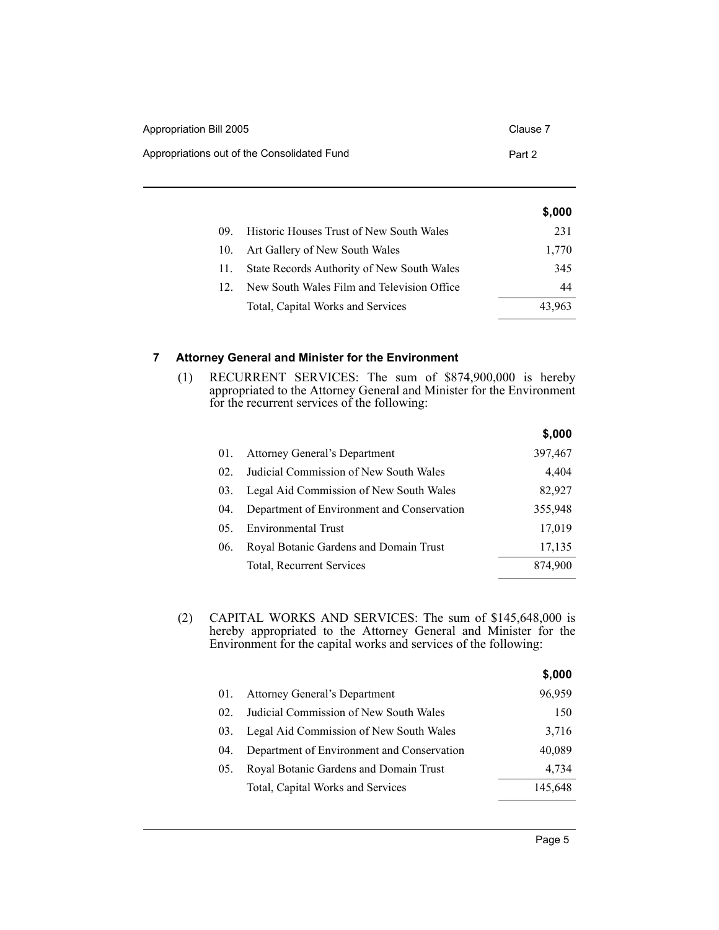| Appropriation Bill 2005                     | Clause 7 |
|---------------------------------------------|----------|
| Appropriations out of the Consolidated Fund | Part 2   |

|     |                                                 | \$,000 |
|-----|-------------------------------------------------|--------|
| 09. | <b>Historic Houses Trust of New South Wales</b> | 231    |
| 10. | Art Gallery of New South Wales                  | 1,770  |
|     | State Records Authority of New South Wales      | 345    |
| 12. | New South Wales Film and Television Office      | 44     |
|     | Total, Capital Works and Services               | 43.963 |

#### **7 Attorney General and Minister for the Environment**

(1) RECURRENT SERVICES: The sum of \$874,900,000 is hereby appropriated to the Attorney General and Minister for the Environment for the recurrent services of the following:

|                                  |                                            | \$,000  |
|----------------------------------|--------------------------------------------|---------|
| 01.                              | Attorney General's Department              | 397,467 |
| $02_{\scriptscriptstyle{\odot}}$ | Judicial Commission of New South Wales     | 4,404   |
| 03.                              | Legal Aid Commission of New South Wales    | 82,927  |
| 04.                              | Department of Environment and Conservation | 355,948 |
| 0.5 <sub>1</sub>                 | <b>Environmental Trust</b>                 | 17,019  |
| 06.                              | Royal Botanic Gardens and Domain Trust     | 17,135  |
|                                  | Total, Recurrent Services                  | 874.900 |
|                                  |                                            |         |

(2) CAPITAL WORKS AND SERVICES: The sum of \$145,648,000 is hereby appropriated to the Attorney General and Minister for the Environment for the capital works and services of the following:

|     |                                            | \$,000  |
|-----|--------------------------------------------|---------|
| 01. | Attorney General's Department              | 96,959  |
| 02. | Judicial Commission of New South Wales     | 150     |
| 03. | Legal Aid Commission of New South Wales    | 3,716   |
| 04. | Department of Environment and Conservation | 40,089  |
| 05. | Royal Botanic Gardens and Domain Trust     | 4,734   |
|     | Total, Capital Works and Services          | 145,648 |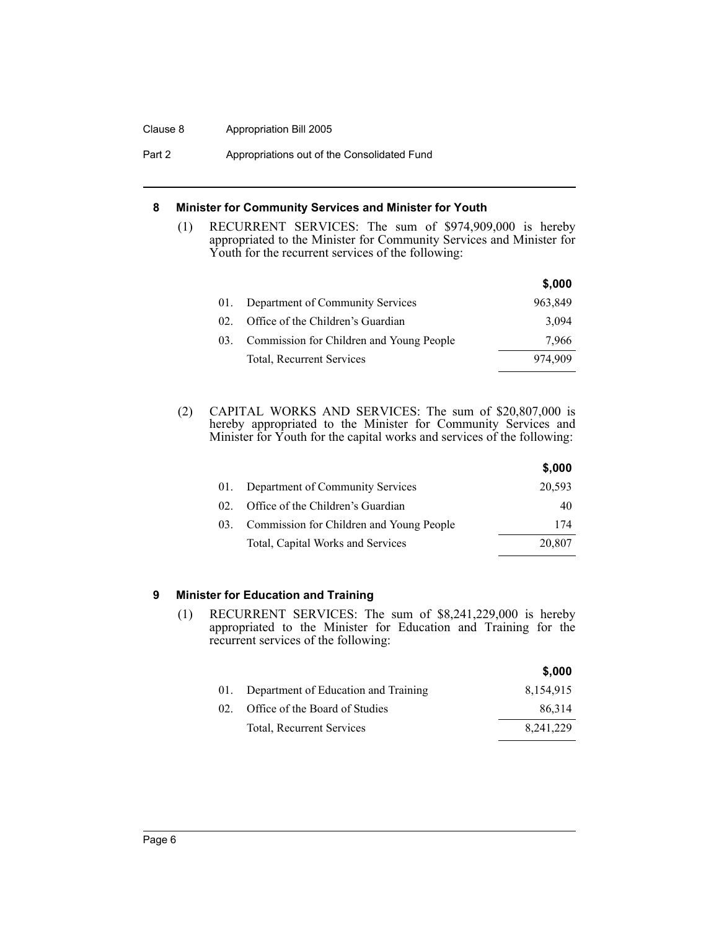#### Clause 8 Appropriation Bill 2005

Part 2 **Appropriations out of the Consolidated Fund** 

#### **8 Minister for Community Services and Minister for Youth**

(1) RECURRENT SERVICES: The sum of \$974,909,000 is hereby appropriated to the Minister for Community Services and Minister for Youth for the recurrent services of the following:

|     |                                          | \$,000  |
|-----|------------------------------------------|---------|
|     | Department of Community Services         | 963,849 |
| 02. | Office of the Children's Guardian        | 3.094   |
| 03. | Commission for Children and Young People | 7,966   |
|     | Total, Recurrent Services                | 974,909 |

(2) CAPITAL WORKS AND SERVICES: The sum of \$20,807,000 is hereby appropriated to the Minister for Community Services and Minister for Youth for the capital works and services of the following:

|     |                                          | \$,000 |
|-----|------------------------------------------|--------|
| 01. | Department of Community Services         | 20,593 |
| 02. | Office of the Children's Guardian        | 40     |
| 03. | Commission for Children and Young People | 174    |
|     | Total, Capital Works and Services        | 20,807 |

#### **9 Minister for Education and Training**

(1) RECURRENT SERVICES: The sum of \$8,241,229,000 is hereby appropriated to the Minister for Education and Training for the recurrent services of the following:

|     |                                      | \$,000      |
|-----|--------------------------------------|-------------|
| 01. | Department of Education and Training | 8,154,915   |
| 02. | Office of the Board of Studies       | 86.314      |
|     | Total, Recurrent Services            | 8, 241, 229 |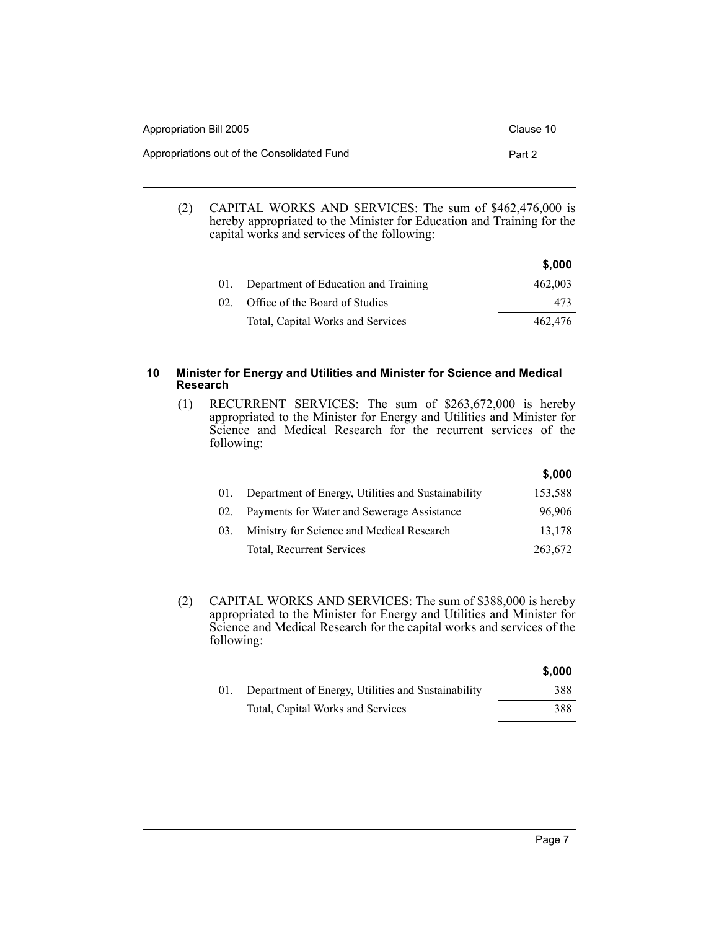| Appropriation Bill 2005                     | Clause 10 |
|---------------------------------------------|-----------|
| Appropriations out of the Consolidated Fund | Part 2    |

(2) CAPITAL WORKS AND SERVICES: The sum of \$462,476,000 is hereby appropriated to the Minister for Education and Training for the capital works and services of the following:

|                 |                                      | \$,000  |
|-----------------|--------------------------------------|---------|
| 01.             | Department of Education and Training | 462,003 |
| 02 <sup>2</sup> | Office of the Board of Studies       | 473     |
|                 | Total, Capital Works and Services    | 462,476 |

#### **10 Minister for Energy and Utilities and Minister for Science and Medical Research**

(1) RECURRENT SERVICES: The sum of \$263,672,000 is hereby appropriated to the Minister for Energy and Utilities and Minister for Science and Medical Research for the recurrent services of the following:

|     |                                                    | \$,000  |
|-----|----------------------------------------------------|---------|
|     | Department of Energy, Utilities and Sustainability | 153,588 |
| 02. | Payments for Water and Sewerage Assistance         | 96,906  |
| 03. | Ministry for Science and Medical Research          | 13,178  |
|     | Total, Recurrent Services                          | 263,672 |
|     |                                                    |         |

(2) CAPITAL WORKS AND SERVICES: The sum of \$388,000 is hereby appropriated to the Minister for Energy and Utilities and Minister for Science and Medical Research for the capital works and services of the following:

|     |                                                    | \$,000 |
|-----|----------------------------------------------------|--------|
| 01. | Department of Energy, Utilities and Sustainability | 388    |
|     | Total, Capital Works and Services                  | 388    |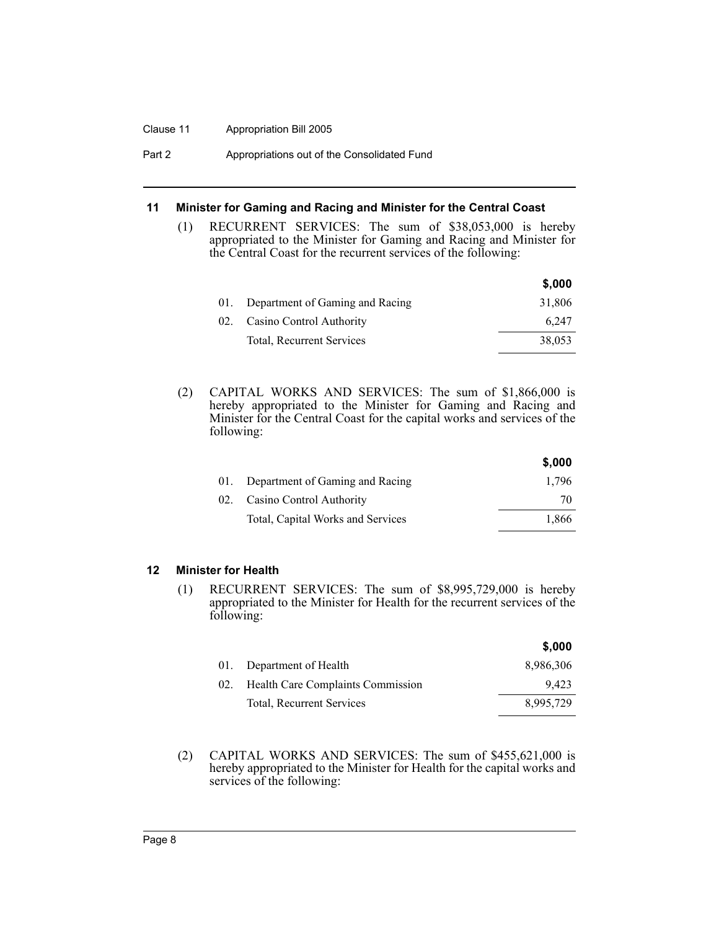#### Clause 11 Appropriation Bill 2005

Part 2 **Appropriations out of the Consolidated Fund** 

#### **11 Minister for Gaming and Racing and Minister for the Central Coast**

(1) RECURRENT SERVICES: The sum of \$38,053,000 is hereby appropriated to the Minister for Gaming and Racing and Minister for the Central Coast for the recurrent services of the following:

|     |                                 | \$,000 |
|-----|---------------------------------|--------|
|     | Department of Gaming and Racing | 31,806 |
| 02. | Casino Control Authority        | 6.247  |
|     | Total, Recurrent Services       | 38,053 |

(2) CAPITAL WORKS AND SERVICES: The sum of \$1,866,000 is hereby appropriated to the Minister for Gaming and Racing and Minister for the Central Coast for the capital works and services of the following:

|                                     | \$.000 |
|-------------------------------------|--------|
| 01. Department of Gaming and Racing | 1.796  |
| 02. Casino Control Authority        | 70     |
| Total, Capital Works and Services   | 1,866  |

**\$,000**

#### **12 Minister for Health**

(1) RECURRENT SERVICES: The sum of \$8,995,729,000 is hereby appropriated to the Minister for Health for the recurrent services of the following:

|     |                                   | \$,000    |
|-----|-----------------------------------|-----------|
|     | 01. Department of Health          | 8,986,306 |
| 02. | Health Care Complaints Commission | 9.423     |
|     | Total, Recurrent Services         | 8.995.729 |

(2) CAPITAL WORKS AND SERVICES: The sum of \$455,621,000 is hereby appropriated to the Minister for Health for the capital works and services of the following: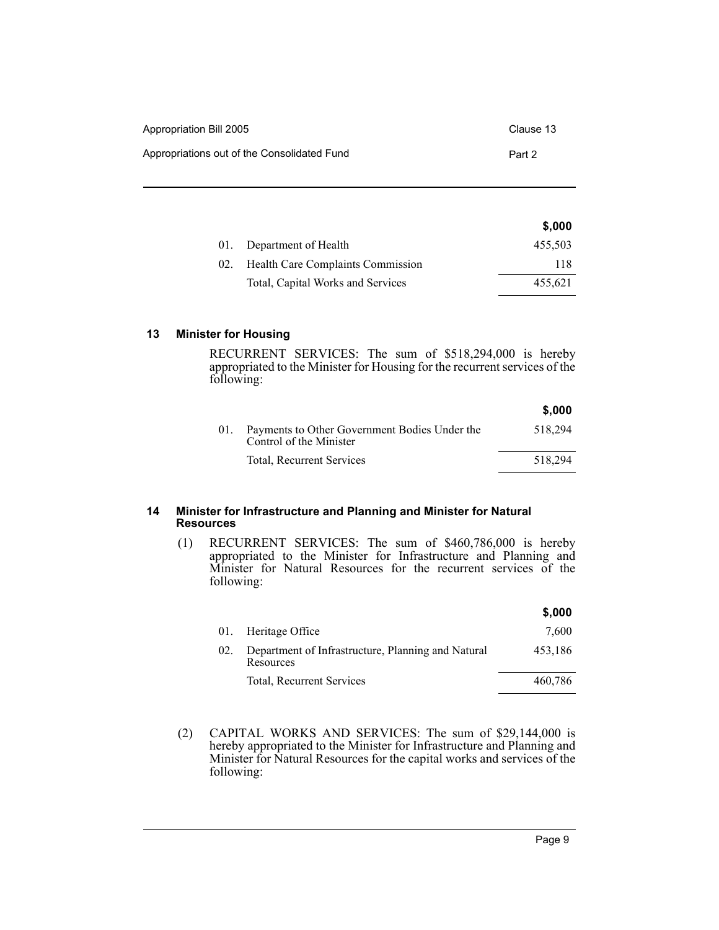| Appropriation Bill 2005                     | Clause 13 |
|---------------------------------------------|-----------|
| Appropriations out of the Consolidated Fund | Part 2    |

|     |                                   | \$,000  |
|-----|-----------------------------------|---------|
| 01. | Department of Health              | 455,503 |
| 02. | Health Care Complaints Commission | 118     |
|     | Total, Capital Works and Services | 455,621 |

#### **13 Minister for Housing**

RECURRENT SERVICES: The sum of \$518,294,000 is hereby appropriated to the Minister for Housing for the recurrent services of the following:

| \$,000                                                                                                |
|-------------------------------------------------------------------------------------------------------|
| 518.294                                                                                               |
| 518.294                                                                                               |
| Payments to Other Government Bodies Under the<br>Control of the Minister<br>Total, Recurrent Services |

#### **14 Minister for Infrastructure and Planning and Minister for Natural Resources**

(1) RECURRENT SERVICES: The sum of \$460,786,000 is hereby appropriated to the Minister for Infrastructure and Planning and Minister for Natural Resources for the recurrent services of the following:

|     |                                                                 | \$,000  |
|-----|-----------------------------------------------------------------|---------|
| 01. | Heritage Office                                                 | 7,600   |
| 02. | Department of Infrastructure, Planning and Natural<br>Resources | 453,186 |
|     | Total, Recurrent Services                                       | 460,786 |

(2) CAPITAL WORKS AND SERVICES: The sum of \$29,144,000 is hereby appropriated to the Minister for Infrastructure and Planning and Minister for Natural Resources for the capital works and services of the following: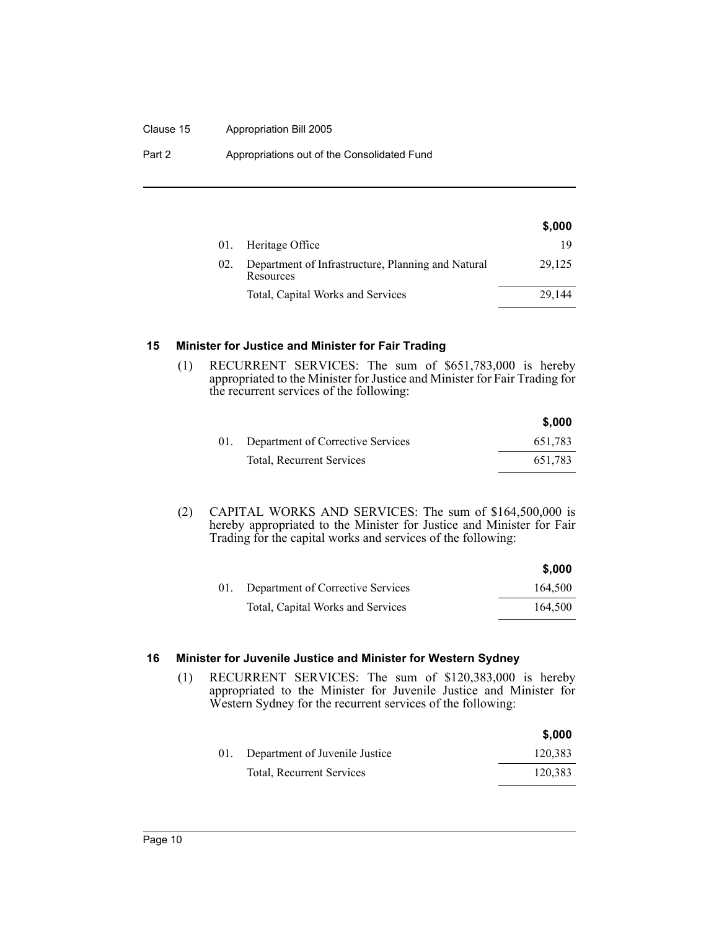#### Clause 15 Appropriation Bill 2005

Part 2 **Appropriations out of the Consolidated Fund** 

|     |                                                                 | \$,000 |
|-----|-----------------------------------------------------------------|--------|
|     | 01. Heritage Office                                             | 19     |
| 02. | Department of Infrastructure, Planning and Natural<br>Resources | 29,125 |
|     | Total, Capital Works and Services                               | 29.144 |

#### **15 Minister for Justice and Minister for Fair Trading**

(1) RECURRENT SERVICES: The sum of \$651,783,000 is hereby appropriated to the Minister for Justice and Minister for Fair Trading for the recurrent services of the following:

|                                       | \$,000  |
|---------------------------------------|---------|
| 01. Department of Corrective Services | 651,783 |
| Total, Recurrent Services             | 651,783 |

(2) CAPITAL WORKS AND SERVICES: The sum of \$164,500,000 is hereby appropriated to the Minister for Justice and Minister for Fair Trading for the capital works and services of the following:

|                                       | \$,000  |
|---------------------------------------|---------|
| 01. Department of Corrective Services | 164,500 |
| Total, Capital Works and Services     | 164,500 |

#### **16 Minister for Juvenile Justice and Minister for Western Sydney**

(1) RECURRENT SERVICES: The sum of \$120,383,000 is hereby appropriated to the Minister for Juvenile Justice and Minister for Western Sydney for the recurrent services of the following:

|     |                                | \$,000  |
|-----|--------------------------------|---------|
| 01. | Department of Juvenile Justice | 120,383 |
|     | Total, Recurrent Services      | 120,383 |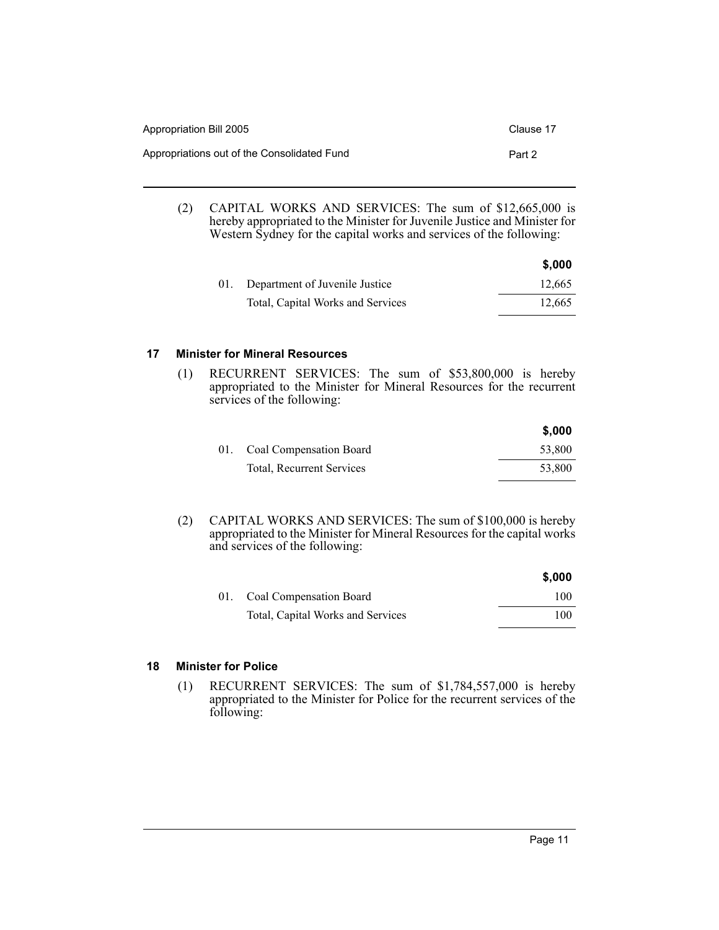| Appropriation Bill 2005                     | Clause 17 |
|---------------------------------------------|-----------|
| Appropriations out of the Consolidated Fund | Part 2    |

(2) CAPITAL WORKS AND SERVICES: The sum of \$12,665,000 is hereby appropriated to the Minister for Juvenile Justice and Minister for Western Sydney for the capital works and services of the following:

|                                    | \$,000 |
|------------------------------------|--------|
| 01. Department of Juvenile Justice | 12.665 |
| Total, Capital Works and Services  | 12.665 |

#### **17 Minister for Mineral Resources**

(1) RECURRENT SERVICES: The sum of \$53,800,000 is hereby appropriated to the Minister for Mineral Resources for the recurrent services of the following:

|                                  | \$,000 |
|----------------------------------|--------|
| 01. Coal Compensation Board      | 53.800 |
| <b>Total, Recurrent Services</b> | 53.800 |

(2) CAPITAL WORKS AND SERVICES: The sum of \$100,000 is hereby appropriated to the Minister for Mineral Resources for the capital works and services of the following:

|                                   | \$,000 |
|-----------------------------------|--------|
| 01. Coal Compensation Board       | 100    |
| Total, Capital Works and Services | 100    |

#### **18 Minister for Police**

(1) RECURRENT SERVICES: The sum of \$1,784,557,000 is hereby appropriated to the Minister for Police for the recurrent services of the following: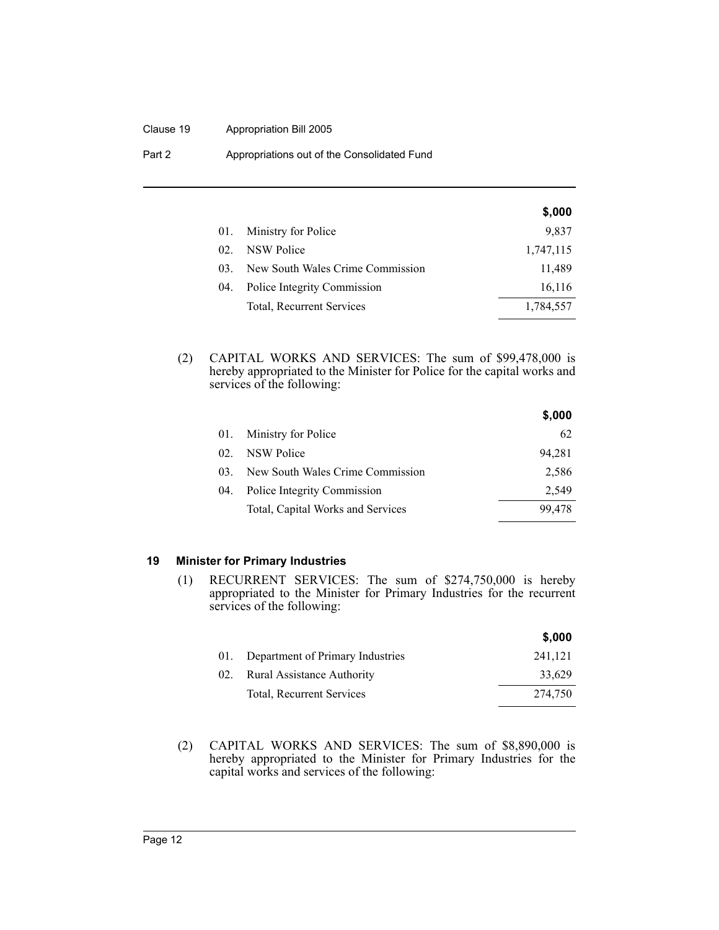#### Clause 19 Appropriation Bill 2005

| Part 2 | Appropriations out of the Consolidated Fund |  |
|--------|---------------------------------------------|--|
|--------|---------------------------------------------|--|

|                 |                                  | \$,000    |
|-----------------|----------------------------------|-----------|
| 01.             | Ministry for Police              | 9,837     |
| 02.             | NSW Police                       | 1,747,115 |
| 03 <sup>2</sup> | New South Wales Crime Commission | 11,489    |
| 04.             | Police Integrity Commission      | 16,116    |
|                 | Total, Recurrent Services        | 1,784,557 |

(2) CAPITAL WORKS AND SERVICES: The sum of \$99,478,000 is hereby appropriated to the Minister for Police for the capital works and services of the following:

|     |                                   | \$,000 |
|-----|-----------------------------------|--------|
| 01. | Ministry for Police               | 62     |
| 02  | <b>NSW Police</b>                 | 94,281 |
| 03. | New South Wales Crime Commission  | 2.586  |
| 04. | Police Integrity Commission       | 2.549  |
|     | Total, Capital Works and Services | 99.478 |

#### **19 Minister for Primary Industries**

(1) RECURRENT SERVICES: The sum of \$274,750,000 is hereby appropriated to the Minister for Primary Industries for the recurrent services of the following:

|     |                                   | \$,000  |
|-----|-----------------------------------|---------|
| 01. | Department of Primary Industries  | 241,121 |
| 02. | <b>Rural Assistance Authority</b> | 33,629  |
|     | Total, Recurrent Services         | 274.750 |

(2) CAPITAL WORKS AND SERVICES: The sum of \$8,890,000 is hereby appropriated to the Minister for Primary Industries for the capital works and services of the following: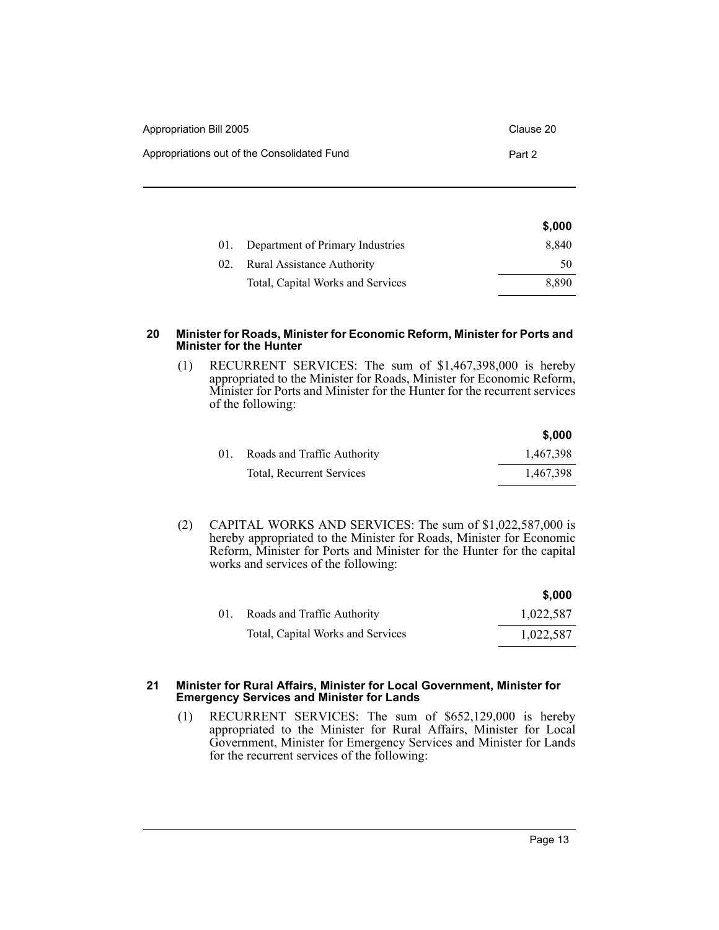| Appropriation Bill 2005                     | Clause 20 |
|---------------------------------------------|-----------|
| Appropriations out of the Consolidated Fund | Part 2    |

|                                          | \$,000 |
|------------------------------------------|--------|
| 01. Department of Primary Industries     | 8,840  |
| <b>Rural Assistance Authority</b><br>02. | 50     |
| Total, Capital Works and Services        | 8.890  |
|                                          |        |

#### **20 Minister for Roads, Minister for Economic Reform, Minister for Ports and Minister for the Hunter**

(1) RECURRENT SERVICES: The sum of \$1,467,398,000 is hereby appropriated to the Minister for Roads, Minister for Economic Reform, Minister for Ports and Minister for the Hunter for the recurrent services of the following:

|     |                             | \$.000    |
|-----|-----------------------------|-----------|
| 01. | Roads and Traffic Authority | 1,467,398 |
|     | Total, Recurrent Services   | 1,467,398 |

(2) CAPITAL WORKS AND SERVICES: The sum of \$1,022,587,000 is hereby appropriated to the Minister for Roads, Minister for Economic Reform, Minister for Ports and Minister for the Hunter for the capital works and services of the following:

|     |                                   | \$.000    |
|-----|-----------------------------------|-----------|
| 01. | Roads and Traffic Authority       | 1,022,587 |
|     | Total, Capital Works and Services | 1,022,587 |

#### **21 Minister for Rural Affairs, Minister for Local Government, Minister for Emergency Services and Minister for Lands**

(1) RECURRENT SERVICES: The sum of \$652,129,000 is hereby appropriated to the Minister for Rural Affairs, Minister for Local Government, Minister for Emergency Services and Minister for Lands for the recurrent services of the following: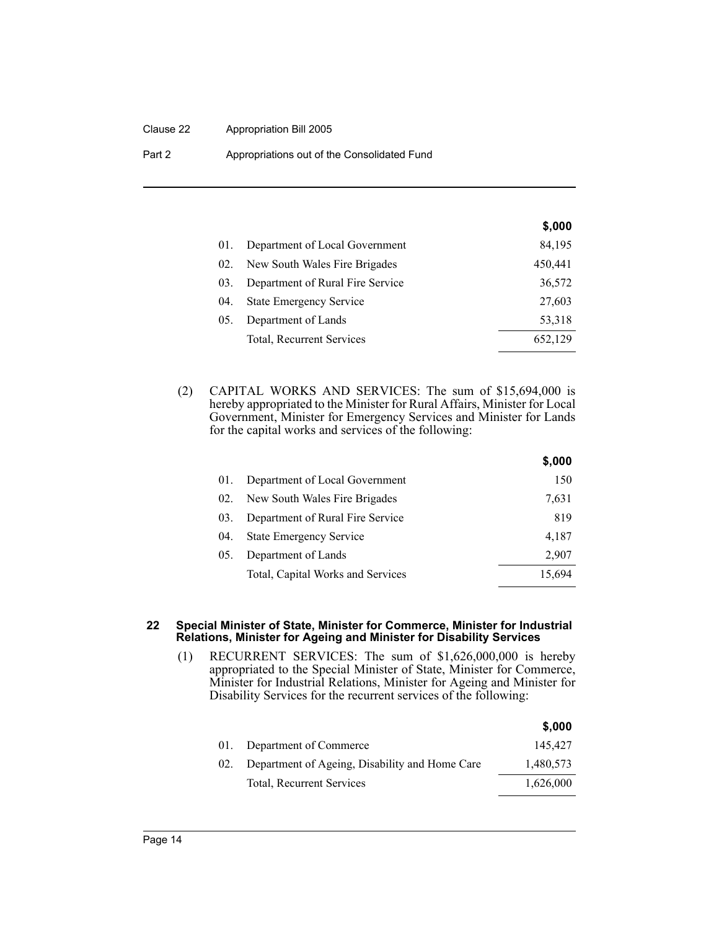#### Clause 22 Appropriation Bill 2005

Part 2 **Appropriations out of the Consolidated Fund** 

|     |                                  | \$,000  |
|-----|----------------------------------|---------|
| 01. | Department of Local Government   | 84,195  |
| 02. | New South Wales Fire Brigades    | 450,441 |
| 03. | Department of Rural Fire Service | 36,572  |
| 04. | <b>State Emergency Service</b>   | 27,603  |
| 05. | Department of Lands              | 53,318  |
|     | Total, Recurrent Services        | 652,129 |

(2) CAPITAL WORKS AND SERVICES: The sum of \$15,694,000 is hereby appropriated to the Minister for Rural Affairs, Minister for Local Government, Minister for Emergency Services and Minister for Lands for the capital works and services of the following:

|     |                                   | \$,000 |
|-----|-----------------------------------|--------|
| 01. | Department of Local Government    | 150    |
| 02. | New South Wales Fire Brigades     | 7,631  |
| 03. | Department of Rural Fire Service  | 819    |
| 04. | <b>State Emergency Service</b>    | 4,187  |
| 05. | Department of Lands               | 2,907  |
|     | Total, Capital Works and Services | 15.694 |

#### **22 Special Minister of State, Minister for Commerce, Minister for Industrial Relations, Minister for Ageing and Minister for Disability Services**

(1) RECURRENT SERVICES: The sum of \$1,626,000,000 is hereby appropriated to the Special Minister of State, Minister for Commerce, Minister for Industrial Relations, Minister for Ageing and Minister for Disability Services for the recurrent services of the following:

|     |                                                | \$,000    |
|-----|------------------------------------------------|-----------|
| 01. | Department of Commerce                         | 145.427   |
| 02. | Department of Ageing, Disability and Home Care | 1,480,573 |
|     | Total, Recurrent Services                      | 1,626,000 |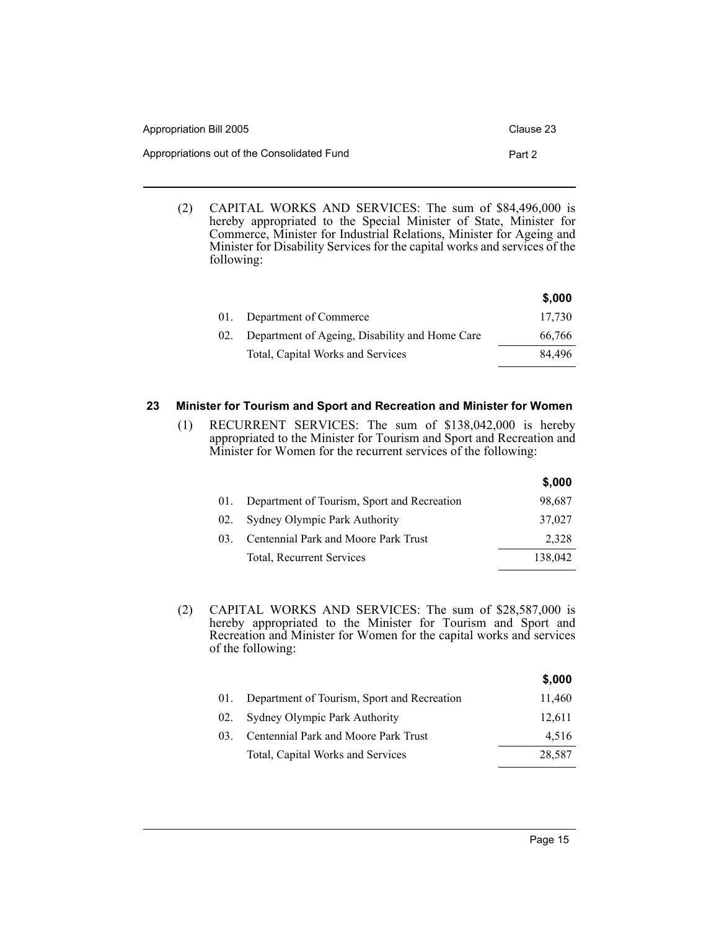| Appropriation Bill 2005                     | Clause 23 |
|---------------------------------------------|-----------|
| Appropriations out of the Consolidated Fund | Part 2    |

(2) CAPITAL WORKS AND SERVICES: The sum of \$84,496,000 is hereby appropriated to the Special Minister of State, Minister for Commerce, Minister for Industrial Relations, Minister for Ageing and Minister for Disability Services for the capital works and services of the following:

|     |                                                | \$,000 |
|-----|------------------------------------------------|--------|
| 01. | Department of Commerce                         | 17.730 |
| 02. | Department of Ageing, Disability and Home Care | 66,766 |
|     | Total, Capital Works and Services              | 84.496 |

#### **23 Minister for Tourism and Sport and Recreation and Minister for Women**

(1) RECURRENT SERVICES: The sum of \$138,042,000 is hereby appropriated to the Minister for Tourism and Sport and Recreation and Minister for Women for the recurrent services of the following:

|     |                                             | \$,000  |
|-----|---------------------------------------------|---------|
|     | Department of Tourism, Sport and Recreation | 98,687  |
| 02. | Sydney Olympic Park Authority               | 37,027  |
| 03  | Centennial Park and Moore Park Trust        | 2,328   |
|     | Total, Recurrent Services                   | 138,042 |
|     |                                             |         |

(2) CAPITAL WORKS AND SERVICES: The sum of \$28,587,000 is hereby appropriated to the Minister for Tourism and Sport and Recreation and Minister for Women for the capital works and services of the following:

|                 |                                             | \$,000 |
|-----------------|---------------------------------------------|--------|
| 01.             | Department of Tourism, Sport and Recreation | 11,460 |
| 02.             | Sydney Olympic Park Authority               | 12,611 |
| 03 <sup>2</sup> | Centennial Park and Moore Park Trust        | 4,516  |
|                 | Total, Capital Works and Services           | 28,587 |
|                 |                                             |        |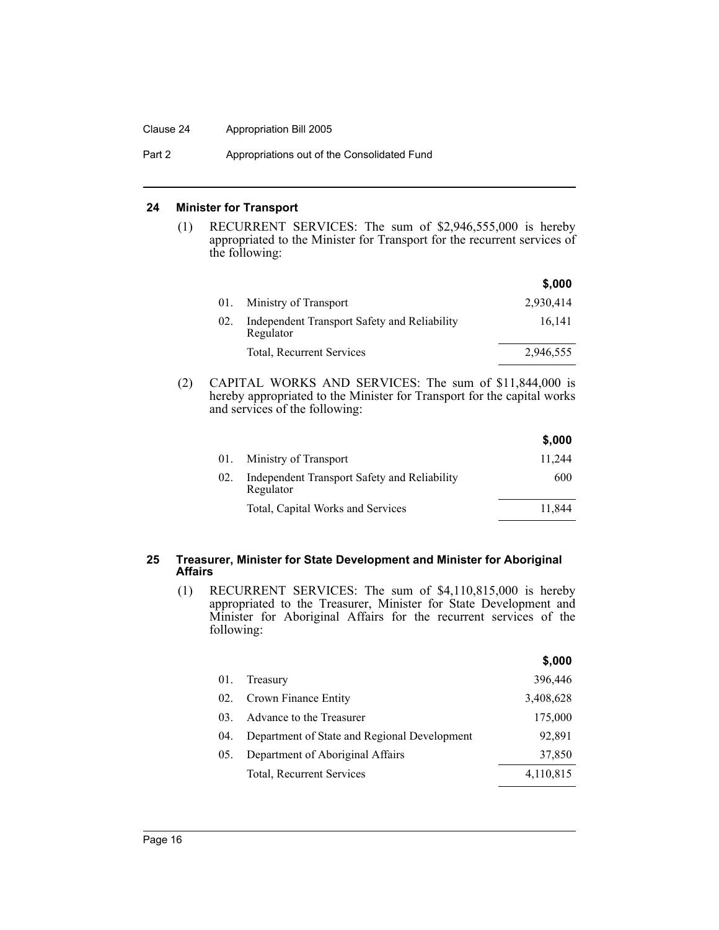#### Clause 24 Appropriation Bill 2005

Part 2 **Appropriations out of the Consolidated Fund** 

#### **24 Minister for Transport**

(1) RECURRENT SERVICES: The sum of \$2,946,555,000 is hereby appropriated to the Minister for Transport for the recurrent services of the following:

|     |                                                           | \$,000    |
|-----|-----------------------------------------------------------|-----------|
| 01. | Ministry of Transport                                     | 2,930,414 |
| 02. | Independent Transport Safety and Reliability<br>Regulator | 16.141    |
|     | Total, Recurrent Services                                 | 2,946,555 |

(2) CAPITAL WORKS AND SERVICES: The sum of \$11,844,000 is hereby appropriated to the Minister for Transport for the capital works and services of the following:

|     |                                                           | \$,000 |
|-----|-----------------------------------------------------------|--------|
| 01. | Ministry of Transport                                     | 11.244 |
| 02. | Independent Transport Safety and Reliability<br>Regulator | 600    |
|     | Total, Capital Works and Services                         | 11.844 |

#### **25 Treasurer, Minister for State Development and Minister for Aboriginal Affairs**

(1) RECURRENT SERVICES: The sum of \$4,110,815,000 is hereby appropriated to the Treasurer, Minister for State Development and Minister for Aboriginal Affairs for the recurrent services of the following:

**\$,000**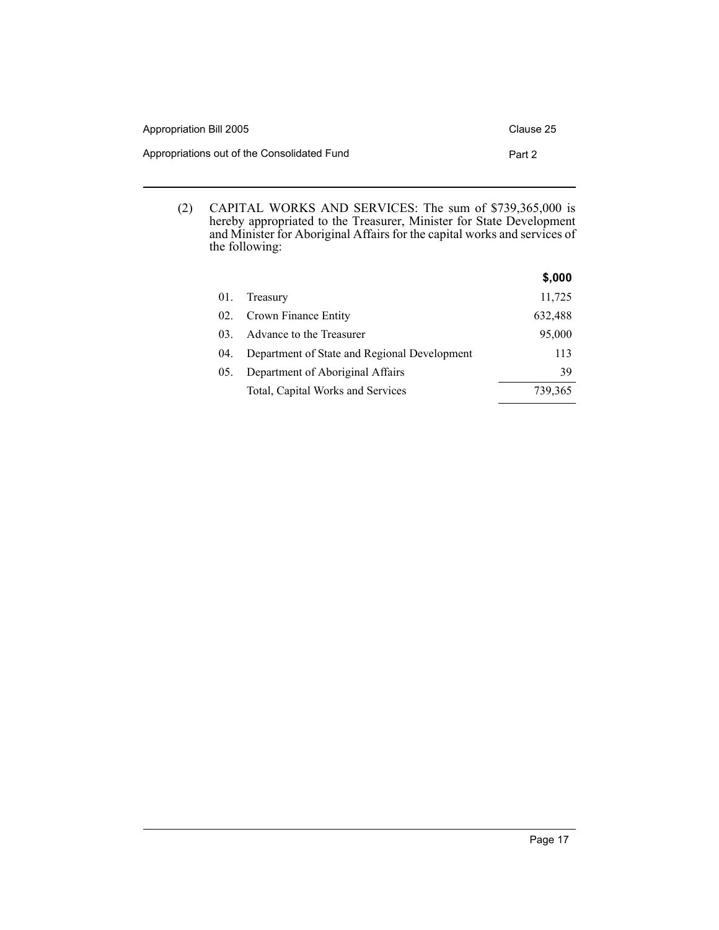| Appropriation Bill 2005                     | Clause 25 |
|---------------------------------------------|-----------|
| Appropriations out of the Consolidated Fund | Part 2    |

(2) CAPITAL WORKS AND SERVICES: The sum of \$739,365,000 is hereby appropriated to the Treasurer, Minister for State Development and Minister for Aboriginal Affairs for the capital works and services of the following:

|          |                                              | \$,000  |
|----------|----------------------------------------------|---------|
| 01.      | Treasury                                     | 11,725  |
| 02.      | Crown Finance Entity                         | 632,488 |
| $03_{-}$ | Advance to the Treasurer                     | 95,000  |
| 04.      | Department of State and Regional Development | 113     |
| 05.      | Department of Aboriginal Affairs             | 39      |
|          | Total, Capital Works and Services            | 739,365 |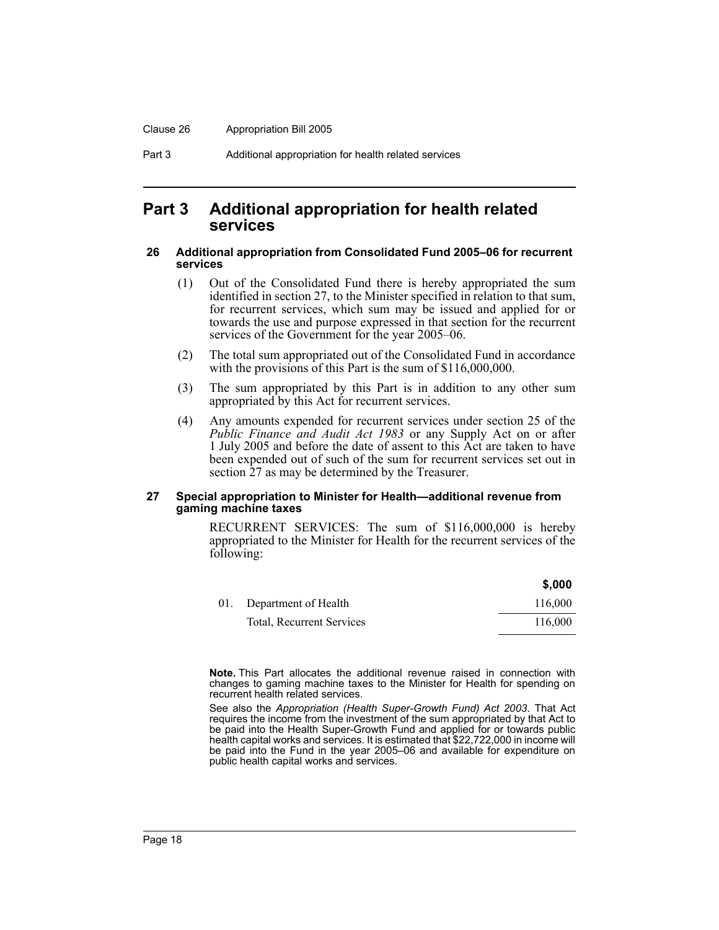Part 3 Additional appropriation for health related services

### **Part 3 Additional appropriation for health related services**

#### **26 Additional appropriation from Consolidated Fund 2005–06 for recurrent services**

- (1) Out of the Consolidated Fund there is hereby appropriated the sum identified in section 27, to the Minister specified in relation to that sum, for recurrent services, which sum may be issued and applied for or towards the use and purpose expressed in that section for the recurrent services of the Government for the year 2005–06.
- (2) The total sum appropriated out of the Consolidated Fund in accordance with the provisions of this Part is the sum of \$116,000,000.
- (3) The sum appropriated by this Part is in addition to any other sum appropriated by this Act for recurrent services.
- (4) Any amounts expended for recurrent services under section 25 of the *Public Finance and Audit Act 1983* or any Supply Act on or after 1 July 2005 and before the date of assent to this Act are taken to have been expended out of such of the sum for recurrent services set out in section 27 as may be determined by the Treasurer.

#### **27 Special appropriation to Minister for Health—additional revenue from gaming machine taxes**

RECURRENT SERVICES: The sum of \$116,000,000 is hereby appropriated to the Minister for Health for the recurrent services of the following:

|     |                           | \$,000  |
|-----|---------------------------|---------|
| 01. | Department of Health      | 116,000 |
|     | Total, Recurrent Services | 116,000 |

**Note.** This Part allocates the additional revenue raised in connection with changes to gaming machine taxes to the Minister for Health for spending on recurrent health related services.

See also the *Appropriation (Health Super-Growth Fund) Act 2003*. That Act requires the income from the investment of the sum appropriated by that Act to be paid into the Health Super-Growth Fund and applied for or towards public health capital works and services. It is estimated that \$22,722,000 in income will be paid into the Fund in the year 2005–06 and available for expenditure on public health capital works and services.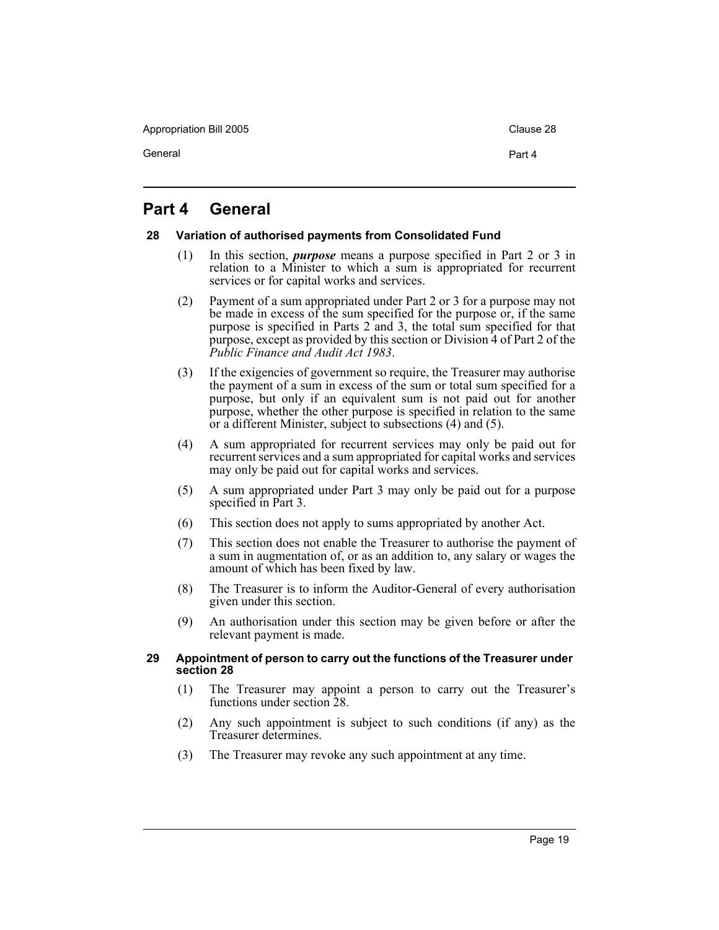Appropriation Bill 2005 Clause 28

General **Part 4** 

## **Part 4 General**

#### **28 Variation of authorised payments from Consolidated Fund**

- (1) In this section, *purpose* means a purpose specified in Part 2 or 3 in relation to a Minister to which a sum is appropriated for recurrent services or for capital works and services.
- (2) Payment of a sum appropriated under Part 2 or 3 for a purpose may not be made in excess of the sum specified for the purpose or, if the same purpose is specified in Parts 2 and 3, the total sum specified for that purpose, except as provided by this section or Division 4 of Part 2 of the *Public Finance and Audit Act 1983*.
- (3) If the exigencies of government so require, the Treasurer may authorise the payment of a sum in excess of the sum or total sum specified for a purpose, but only if an equivalent sum is not paid out for another purpose, whether the other purpose is specified in relation to the same or a different Minister, subject to subsections (4) and (5).
- (4) A sum appropriated for recurrent services may only be paid out for recurrent services and a sum appropriated for capital works and services may only be paid out for capital works and services.
- (5) A sum appropriated under Part 3 may only be paid out for a purpose specified in Part 3.
- (6) This section does not apply to sums appropriated by another Act.
- (7) This section does not enable the Treasurer to authorise the payment of a sum in augmentation of, or as an addition to, any salary or wages the amount of which has been fixed by law.
- (8) The Treasurer is to inform the Auditor-General of every authorisation given under this section.
- (9) An authorisation under this section may be given before or after the relevant payment is made.

#### **29 Appointment of person to carry out the functions of the Treasurer under section 28**

- (1) The Treasurer may appoint a person to carry out the Treasurer's functions under section 28.
- (2) Any such appointment is subject to such conditions (if any) as the Treasurer determines.
- (3) The Treasurer may revoke any such appointment at any time.